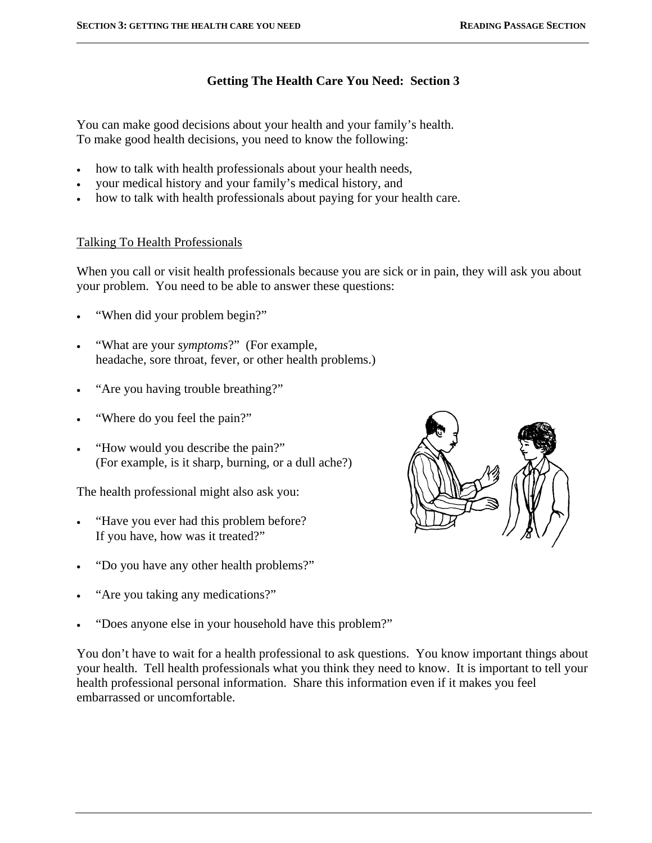$\overline{a}$ 

# **Getting The Health Care You Need: Section 3**

You can make good decisions about your health and your family's health. To make good health decisions, you need to know the following:

- how to talk with health professionals about your health needs,
- your medical history and your family's medical history, and
- how to talk with health professionals about paying for your health care.

# Talking To Health Professionals

When you call or visit health professionals because you are sick or in pain, they will ask you about your problem. You need to be able to answer these questions:

- "When did your problem begin?"
- "What are your *symptoms*?" (For example, headache, sore throat, fever, or other health problems.)
- "Are you having trouble breathing?"
- "Where do you feel the pain?"
- "How would you describe the pain?" (For example, is it sharp, burning, or a dull ache?)

The health professional might also ask you:

- "Have you ever had this problem before? If you have, how was it treated?"
- "Do you have any other health problems?"
- "Are you taking any medications?"
- "Does anyone else in your household have this problem?"

You don't have to wait for a health professional to ask questions. You know important things about your health. Tell health professionals what you think they need to know. It is important to tell your health professional personal information. Share this information even if it makes you feel embarrassed or uncomfortable.

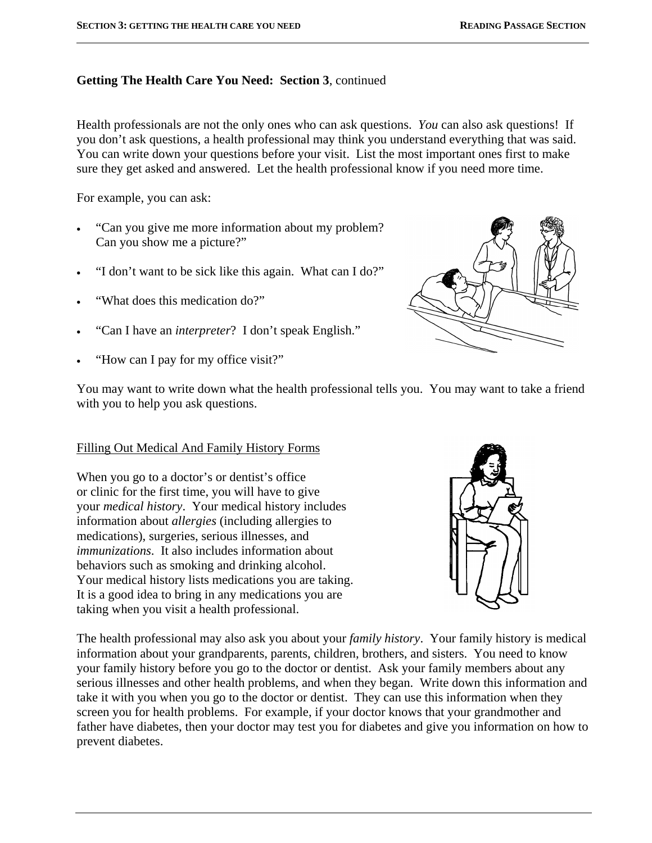## **Getting The Health Care You Need: Section 3**, continued

Health professionals are not the only ones who can ask questions. *You* can also ask questions! If you don't ask questions, a health professional may think you understand everything that was said. You can write down your questions before your visit. List the most important ones first to make sure they get asked and answered. Let the health professional know if you need more time.

For example, you can ask:

 $\overline{a}$ 

- "Can you give me more information about my problem? Can you show me a picture?"
- "I don't want to be sick like this again. What can I do?"
- "What does this medication do?"
- "Can I have an *interpreter*? I don't speak English."
- "How can I pay for my office visit?"



You may want to write down what the health professional tells you. You may want to take a friend with you to help you ask questions.

### Filling Out Medical And Family History Forms

When you go to a doctor's or dentist's office or clinic for the first time, you will have to give your *medical history*. Your medical history includes information about *allergies* (including allergies to medications), surgeries, serious illnesses, and *immunizations*. It also includes information about behaviors such as smoking and drinking alcohol. Your medical history lists medications you are taking. It is a good idea to bring in any medications you are taking when you visit a health professional.



The health professional may also ask you about your *family history*. Your family history is medical information about your grandparents, parents, children, brothers, and sisters. You need to know your family history before you go to the doctor or dentist. Ask your family members about any serious illnesses and other health problems, and when they began. Write down this information and take it with you when you go to the doctor or dentist. They can use this information when they screen you for health problems. For example, if your doctor knows that your grandmother and father have diabetes, then your doctor may test you for diabetes and give you information on how to prevent diabetes.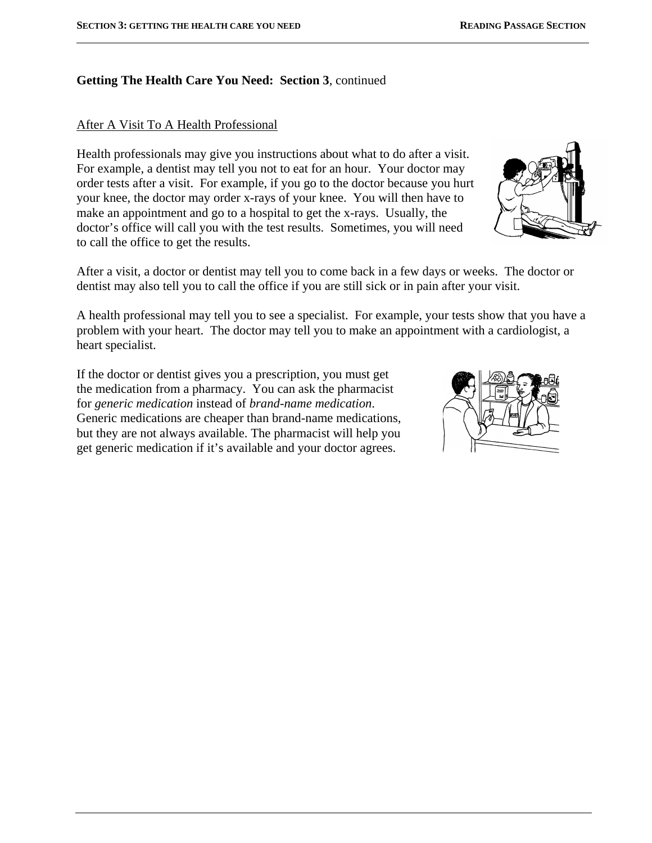$\overline{a}$ 

### **Getting The Health Care You Need: Section 3**, continued

### After A Visit To A Health Professional

Health professionals may give you instructions about what to do after a visit. For example, a dentist may tell you not to eat for an hour. Your doctor may order tests after a visit. For example, if you go to the doctor because you hurt your knee, the doctor may order x-rays of your knee. You will then have to make an appointment and go to a hospital to get the x-rays. Usually, the doctor's office will call you with the test results. Sometimes, you will need to call the office to get the results.

After a visit, a doctor or dentist may tell you to come back in a few days or weeks. The doctor or dentist may also tell you to call the office if you are still sick or in pain after your visit.

A health professional may tell you to see a specialist. For example, your tests show that you have a problem with your heart. The doctor may tell you to make an appointment with a cardiologist, a heart specialist.

If the doctor or dentist gives you a prescription, you must get the medication from a pharmacy. You can ask the pharmacist for *generic medication* instead of *brand-name medication*. Generic medications are cheaper than brand-name medications, but they are not always available. The pharmacist will help you get generic medication if it's available and your doctor agrees.